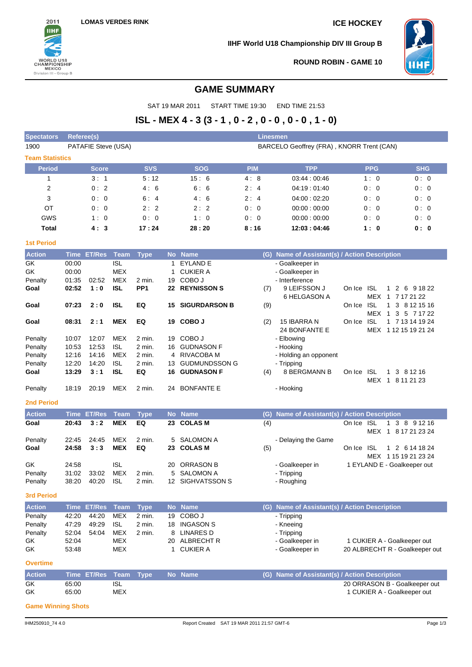

**IIHF World U18 Championship DIV III Group B**



**ROUND ROBIN - GAME 10**

# **GAME SUMMARY**

SAT 19 MAR 2011 START TIME 19:30 END TIME 21:53

# **ISL - MEX 4 - 3 (3 - 1 , 0 - 2 , 0 - 0 , 0 - 0 , 1 - 0)**

| <b>Spectators</b>      | Referee(s)     |                     |                          |                  |          |                                           | Linesmen   |                                                  |            |                                                     |                                |
|------------------------|----------------|---------------------|--------------------------|------------------|----------|-------------------------------------------|------------|--------------------------------------------------|------------|-----------------------------------------------------|--------------------------------|
| 1900                   |                | PATAFIE Steve (USA) |                          |                  |          |                                           |            | BARCELO Geoffrey (FRA), KNORR Trent (CAN)        |            |                                                     |                                |
| <b>Team Statistics</b> |                |                     |                          |                  |          |                                           |            |                                                  |            |                                                     |                                |
| <b>Period</b>          |                | Score               |                          | <b>SVS</b>       |          | <b>SOG</b>                                | <b>PIM</b> | <b>TPP</b>                                       |            | <b>PPG</b>                                          | <b>SHG</b>                     |
| 1                      |                | 3:1                 |                          | 5:12             |          | 15:6                                      | 4:8        | 03:44:00:46                                      |            | 1:0                                                 | 0:0                            |
| 2                      |                | 0:2                 |                          | 4:6              |          | 6:6                                       | 2:4        | 04:19:01:40                                      |            | 0:0                                                 | 0:0                            |
| 3                      |                | 0:0                 |                          | 6:4              |          | 4:6                                       | 2:4        | 04:00:02:20                                      |            | 0:0                                                 | 0:0                            |
| OT                     |                | 0:0                 |                          | 2:2              |          | 2:2                                       | 0:0        | 00:00:00:00                                      |            | 0:0                                                 | 0:0                            |
| GWS                    |                | 1:0                 |                          | 0:0              |          | 1:0                                       | 0:0        | 00:00:00:00                                      |            | 0:0                                                 | 0:0                            |
| <b>Total</b>           |                | 4:3                 |                          | 17:24            |          | 28:20                                     | 8:16       | 12:03:04:46                                      |            | 1:0                                                 | 0: 0                           |
| <b>1st Period</b>      |                |                     |                          |                  |          |                                           |            |                                                  |            |                                                     |                                |
| <b>Action</b>          |                | Time ET/Res         | <b>Team</b>              | <b>Type</b>      |          | No Name                                   |            | (G) Name of Assistant(s) / Action Description    |            |                                                     |                                |
| GK                     | 00:00          |                     | <b>ISL</b>               |                  | 1        | <b>EYLAND E</b>                           |            | - Goalkeeper in                                  |            |                                                     |                                |
| GK                     | 00:00          |                     | <b>MEX</b>               |                  | 1        | <b>CUKIER A</b>                           |            | - Goalkeeper in                                  |            |                                                     |                                |
| Penalty                | 01:35          | 02:52               | MEX                      | 2 min.           | 19       | COBO J                                    |            | - Interference                                   |            |                                                     |                                |
| Goal                   | 02:52          | 1:0                 | <b>ISL</b>               | PP <sub>1</sub>  |          | <b>22 REYNISSON S</b>                     | (7)        | 9 LEIFSSON J<br>6 HELGASON A                     | On Ice     | <b>ISL</b><br>MEX 1 7 17 21 22                      | 1 2 6 9 18 22                  |
| Goal                   | 07:23          | 2:0                 | <b>ISL</b>               | EQ               | 15       | <b>SIGURDARSON B</b>                      | (9)        |                                                  | On Ice     | ISL<br>$\mathbf{1}$                                 | 3 8 12 15 16                   |
|                        |                |                     |                          |                  |          |                                           |            |                                                  |            | MEX 1                                               | 3 5 7 17 22                    |
| Goal                   | 08:31          | 2:1                 | <b>MEX</b>               | EQ               |          | 19 COBO J                                 | (2)        | 15 IBARRA N                                      | On Ice     | <b>ISL</b>                                          | 1 7 13 14 19 24                |
|                        |                |                     |                          |                  |          |                                           |            | <b>24 BONFANTE E</b>                             |            | MEX 1 12 15 19 21 24                                |                                |
| Penalty                | 10:07          | 12:07               | <b>MEX</b>               | 2 min.           |          | 19 COBO J                                 |            | - Elbowing                                       |            |                                                     |                                |
| Penalty                | 10:53          | 12:53               | <b>ISL</b>               | 2 min.           | 16       | <b>GUDNASON F</b>                         |            | - Hooking                                        |            |                                                     |                                |
| Penalty                | 12:16          | 14:16               | <b>MEX</b>               | 2 min.<br>2 min. | 4        | <b>RIVACOBA M</b>                         |            | - Holding an opponent                            |            |                                                     |                                |
| Penalty<br>Goal        | 12:20<br>13:29 | 14:20<br>3:1        | <b>ISL</b><br><b>ISL</b> | EQ               | 13<br>16 | <b>GUDMUNDSSON G</b><br><b>GUDNASON F</b> | (4)        | - Tripping<br>8 BERGMANN B                       | On Ice     | <b>ISL</b>                                          | 1 3 8 1 2 1 6                  |
|                        |                |                     |                          |                  |          |                                           |            |                                                  |            | MEX 1 8 11 21 23                                    |                                |
| Penalty                | 18:19          | 20:19               | <b>MEX</b>               | 2 min.           | 24       | <b>BONFANTE E</b>                         |            | - Hooking                                        |            |                                                     |                                |
| <b>2nd Period</b>      |                |                     |                          |                  |          |                                           |            |                                                  |            |                                                     |                                |
| <b>Action</b>          |                | <b>Time ET/Res</b>  | <b>Team</b>              | <b>Type</b>      |          | No Name                                   | (G)        | <b>Name of Assistant(s) / Action Description</b> |            |                                                     |                                |
| Goal                   | 20:43          | 3:2                 | <b>MEX</b>               | EQ               |          | 23 COLAS M                                | (4)        |                                                  | On Ice ISL | $\mathbf{1}$                                        | 3 8 9 1 2 16                   |
|                        |                |                     |                          |                  |          |                                           |            |                                                  |            | MEX 1 8 17 21 23 24                                 |                                |
| Penalty                | 22:45          | 24:45               | <b>MEX</b>               | 2 min.           | 5        | SALOMON A                                 |            | - Delaying the Game                              |            |                                                     |                                |
| Goal                   | 24:58          | 3:3                 | <b>MEX</b>               | EQ               | 23       | <b>COLAS M</b>                            | (5)        |                                                  | On Ice     | <b>ISL</b><br>$\mathbf{1}$                          | 2 6 14 18 24                   |
| GK                     | 24:58          |                     | <b>ISL</b>               |                  | 20       | <b>ORRASON B</b>                          |            | - Goalkeeper in                                  |            | MEX 1 15 19 21 23 24<br>1 EYLAND E - Goalkeeper out |                                |
| Penalty                | 31:02          | 33:02               | <b>MEX</b>               | 2 min.           | 5        | <b>SALOMON A</b>                          |            | - Tripping                                       |            |                                                     |                                |
| Penalty                | 38:20          | 40:20               | <b>ISL</b>               | 2 min.           |          | 12 SIGHVATSSON S                          |            | - Roughing                                       |            |                                                     |                                |
| 3rd Period             |                |                     |                          |                  |          |                                           |            |                                                  |            |                                                     |                                |
| <b>Action</b>          |                | Time ET/Res         | <b>Team</b>              | <b>Type</b>      |          | No Name                                   |            | (G) Name of Assistant(s) / Action Description    |            |                                                     |                                |
| Penalty                | 42:20          | 44:20               | <b>MEX</b>               | 2 min.           | 19       | COBO J                                    |            | - Tripping                                       |            |                                                     |                                |
| Penalty                | 47:29          | 49:29               | <b>ISL</b>               | 2 min.           |          | 18 INGASON S                              |            | - Kneeing                                        |            |                                                     |                                |
| Penalty                | 52:04          | 54:04               | <b>MEX</b>               | 2 min.           | 8        | <b>LINARES D</b>                          |            | - Tripping                                       |            |                                                     |                                |
| GK                     | 52:04          |                     | <b>MEX</b>               |                  |          | 20 ALBRECHT R                             |            | - Goalkeeper in                                  |            | 1 CUKIER A - Goalkeeper out                         |                                |
| GK                     | 53:48          |                     | MEX                      |                  | 1        | <b>CUKIER A</b>                           |            | - Goalkeeper in                                  |            |                                                     | 20 ALBRECHT R - Goalkeeper out |
| <b>Overtime</b>        |                |                     |                          |                  |          |                                           |            |                                                  |            |                                                     |                                |
| <b>Action</b>          |                | Time ET/Res         | <b>Team</b>              | <b>Type</b>      |          | No Name                                   | (G)        | Name of Assistant(s) / Action Description        |            |                                                     |                                |
| GK                     | 65:00          |                     | <b>ISL</b>               |                  |          |                                           |            |                                                  |            |                                                     | 20 ORRASON B - Goalkeeper out  |
| GK                     | 65:00          |                     | <b>MEX</b>               |                  |          |                                           |            |                                                  |            | 1 CUKIER A - Goalkeeper out                         |                                |

**Game Winning Shots**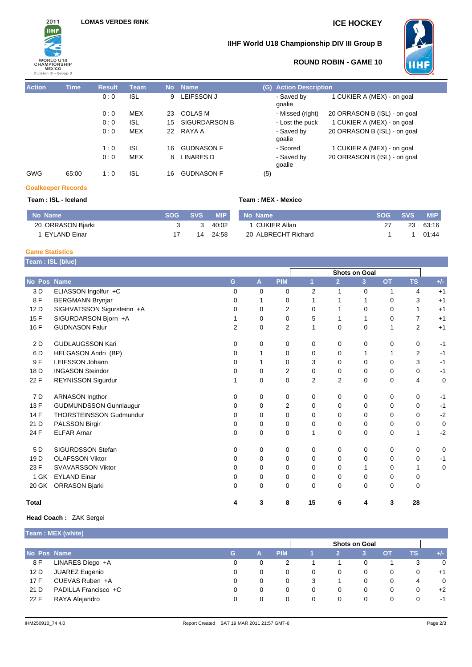

# **IIHF World U18 Championship DIV III Group B**



# **ROUND ROBIN - GAME 10**

| <b>Action</b> | <b>Time</b> | <b>Result</b> | <b>Team</b> |    | No Name           | (G) Action De        |
|---------------|-------------|---------------|-------------|----|-------------------|----------------------|
|               |             | 0:0           | ISL.        | 9  | LEIFSSON J        | - Saved by<br>goalie |
|               |             | 0:0           | <b>MEX</b>  | 23 | <b>COLAS M</b>    | - Missed (r          |
|               |             | 0:0           | <b>ISL</b>  |    | 15 SIGURDARSON B  | - Lost the p         |
|               |             | 0:0           | MEX         | 22 | RAYA A            | - Saved by<br>goalie |
|               |             | 1:0           | <b>ISL</b>  | 16 | <b>GUDNASON F</b> | - Scored             |
|               |             | 0:0           | MEX         | 8  | <b>LINARES D</b>  | - Saved by<br>goalie |
| GWG           | 65:00       | 1:0           | <b>ISL</b>  | 16 | <b>GUDNASON F</b> | (5)                  |

| esult            | <b>Team</b> | <b>No</b> | <b>Name</b>          |     | (G) Action Description |                              |
|------------------|-------------|-----------|----------------------|-----|------------------------|------------------------------|
| 0:0              | <b>ISL</b>  | 9         | <b>LEIFSSON J</b>    |     | - Saved by<br>goalie   | 1 CUKIER A (MEX) - on goal   |
| 0:0              | <b>MEX</b>  | 23        | <b>COLAS M</b>       |     | - Missed (right)       | 20 ORRASON B (ISL) - on goal |
| 0:0              | <b>ISL</b>  | 15        | <b>SIGURDARSON B</b> |     | - Lost the puck        | 1 CUKIER A (MEX) - on goal   |
| 0:0              | MEX         |           | 22 RAYA A            |     | - Saved by<br>qoalie   | 20 ORRASON B (ISL) - on goal |
| 1:0              | <b>ISL</b>  | 16        | <b>GUDNASON F</b>    |     | - Scored               | 1 CUKIER A (MEX) - on goal   |
| 0:0              | <b>MEX</b>  | 8         | <b>LINARES D</b>     |     | - Saved by<br>goalie   | 20 ORRASON B (ISL) - on goal |
| $1 \cdot \Omega$ | ISI         | 16.       | GUDNASON F           | (5) |                        |                              |

# **Goalkeeper Records**

### **Team : ISL - Iceland Team : MEX - Mexico**

| No Name           | <b>SOG</b> | <b>SVS</b> | <b>MIP</b> | No Name             | <b>SOG</b> | <b>SVS</b> | <b>MIP</b> |
|-------------------|------------|------------|------------|---------------------|------------|------------|------------|
| 20 ORRASON Bjarki |            | 3          | 40:02      | 1 CUKIER Allan      |            | 23         | 63:16      |
| 1 EYLAND Einar    |            | 14         | 24:58      | 20 ALBRECHT Richard |            |            | 01:44      |

### **Game Statistics**

| Team : ISL (blue) |                                |          |              |                |                |                |                |           |                |       |
|-------------------|--------------------------------|----------|--------------|----------------|----------------|----------------|----------------|-----------|----------------|-------|
|                   |                                |          |              |                |                |                |                |           |                |       |
| No Pos            | <b>Name</b>                    | G        | $\mathbf{A}$ | <b>PIM</b>     | $\mathbf{1}$   | $\overline{2}$ | 3 <sup>2</sup> | <b>OT</b> | <b>TS</b>      | $+/-$ |
| 3 D               | ELIASSON Ingolfur +C           | $\Omega$ | $\Omega$     | 0              | $\overline{2}$ | 1              | $\mathbf 0$    | 1         | 4              | $+1$  |
| 8F                | <b>BERGMANN Brynjar</b>        | 0        |              | 0              |                |                | 1              | 0         | 3              | $+1$  |
| 12 D              | SIGHVATSSON Sigursteinn +A     | 0        | $\Omega$     | 2              | $\Omega$       | 1              | 0              | 0         | 1              | $+1$  |
| 15F               | SIGURDARSON Bjorn +A           |          | 0            | 0              | 5              | 1              | $\mathbf{1}$   | 0         | $\overline{7}$ | $+1$  |
| 16 F              | <b>GUDNASON Falur</b>          | 2        | $\mathbf 0$  | 2              | 1              | 0              | 0              | 1         | $\overline{2}$ | $+1$  |
| 2 D               | <b>GUDLAUGSSON Kari</b>        | 0        | 0            | 0              | 0              | 0              | 0              | 0         | $\mathbf 0$    | $-1$  |
| 6 D               | HELGASON Andri (BP)            | 0        |              | 0              | 0              | 0              | 1              |           | $\overline{2}$ | $-1$  |
| 9F                | <b>LEIFSSON Johann</b>         | 0        |              | 0              | 3              | 0              | 0              | 0         | 3              | $-1$  |
| 18 D              | <b>INGASON Steindor</b>        | 0        | 0            | $\overline{2}$ | $\mathbf 0$    | 0              | 0              | 0         | $\mathbf 0$    | $-1$  |
| 22 F              | REYNISSON Sigurdur             | 1        | $\mathbf 0$  | 0              | $\overline{2}$ | $\overline{2}$ | $\mathbf 0$    | 0         | 4              | 0     |
| 7 D               | <b>ARNASON Ingthor</b>         | 0        | 0            | 0              | 0              | 0              | 0              | 0         | $\mathbf 0$    | $-1$  |
| 13 F              | <b>GUDMUNDSSON Gunnlaugur</b>  | 0        | $\Omega$     | $\overline{2}$ | $\mathbf 0$    | 0              | $\mathbf 0$    | $\Omega$  | $\mathbf 0$    | $-1$  |
| 14 F              | <b>THORSTEINSSON Gudmundur</b> | 0        | 0            | 0              | $\Omega$       | 0              | 0              | 0         | $\mathbf 0$    | $-2$  |
| 21 D              | PALSSON Birgir                 | $\Omega$ | $\mathbf 0$  | 0              | $\mathbf 0$    | 0              | 0              | $\Omega$  | $\mathbf 0$    | 0     |
| 24 F              | <b>ELFAR Arnar</b>             | $\Omega$ | $\mathbf 0$  | 0              | 1              | 0              | 0              | 0         | 1              | $-2$  |
| 5 <sub>D</sub>    | <b>SIGURDSSON Stefan</b>       | 0        | 0            | 0              | 0              | 0              | 0              | 0         | $\mathbf 0$    | 0     |
| 19 <sub>D</sub>   | <b>OLAFSSON Viktor</b>         | 0        | $\mathbf 0$  | 0              | 0              | 0              | 0              | 0         | 0              | $-1$  |
| 23 F              | <b>SVAVARSSON Viktor</b>       | 0        | 0            | 0              | $\Omega$       | 0              | $\mathbf 1$    | 0         | 1              | 0     |
| 1 GK              | <b>EYLAND Einar</b>            | 0        | 0            | 0              | 0              | 0              | 0              | 0         | $\mathbf 0$    |       |
| 20 GK             | ORRASON Bjarki                 | 0        | $\Omega$     | 0              | $\Omega$       | 0              | $\mathbf 0$    | 0         | 0              |       |
| <b>Total</b>      |                                | 4        | 3            | 8              | 15             | 6              | 4              | 3         | 28             |       |

### **Head Coach :** ZAK Sergei

**Team : MEX (white)**

|             | $\sim$                |    |                      |            |   |          |   |           |    |       |  |
|-------------|-----------------------|----|----------------------|------------|---|----------|---|-----------|----|-------|--|
|             |                       |    | <b>Shots on Goal</b> |            |   |          |   |           |    |       |  |
| No Pos Name |                       | G. | А                    | <b>PIM</b> |   |          | 3 | <b>OT</b> | ТS | $+/-$ |  |
| 8 F         | LINARES Diego +A      | 0  | 0                    | 2          |   |          | 0 |           | 3  | 0     |  |
| 12 D        | <b>JUAREZ Eugenio</b> |    | 0                    | 0          | 0 | 0        | 0 | 0         | 0  | $+1$  |  |
| 17 F        | CUEVAS Ruben +A       |    | 0                    | 0          | 3 |          |   | 0         | 4  | 0     |  |
| 21 D        | PADILLA Francisco +C  | 0  | 0                    | 0          | 0 | $\Omega$ | 0 | 0         | 0  | $+2$  |  |
| 22 F        | RAYA Alejandro        | 0  | 0                    |            | 0 | $\Omega$ |   | 0         | 0  | $-1$  |  |
|             |                       |    |                      |            |   |          |   |           |    |       |  |